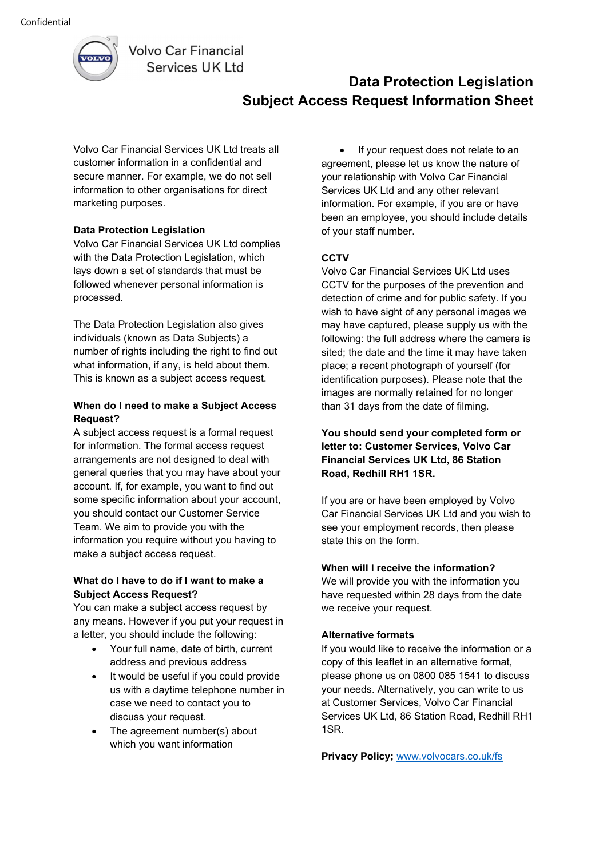

**Volvo Car Financial** Services UK Ltd

# Data Protection Legislation Subject Access Request Information Sheet

Volvo Car Financial Services UK Ltd treats all customer information in a confidential and secure manner. For example, we do not sell information to other organisations for direct marketing purposes.

# Data Protection Legislation

Volvo Car Financial Services UK Ltd complies with the Data Protection Legislation, which lays down a set of standards that must be followed whenever personal information is processed.

The Data Protection Legislation also gives individuals (known as Data Subjects) a number of rights including the right to find out what information, if any, is held about them. This is known as a subject access request.

## When do I need to make a Subject Access Request?

A subject access request is a formal request for information. The formal access request arrangements are not designed to deal with general queries that you may have about your account. If, for example, you want to find out some specific information about your account, you should contact our Customer Service Team. We aim to provide you with the information you require without you having to make a subject access request.

#### What do I have to do if I want to make a Subject Access Request?

You can make a subject access request by any means. However if you put your request in a letter, you should include the following:

- Your full name, date of birth, current address and previous address
- It would be useful if you could provide us with a daytime telephone number in case we need to contact you to discuss your request.
- The agreement number(s) about which you want information

• If your request does not relate to an agreement, please let us know the nature of your relationship with Volvo Car Financial Services UK Ltd and any other relevant information. For example, if you are or have been an employee, you should include details of your staff number.

# **CCTV**

Volvo Car Financial Services UK Ltd uses CCTV for the purposes of the prevention and detection of crime and for public safety. If you wish to have sight of any personal images we may have captured, please supply us with the following: the full address where the camera is sited; the date and the time it may have taken place; a recent photograph of yourself (for identification purposes). Please note that the images are normally retained for no longer than 31 days from the date of filming.

## You should send your completed form or letter to: Customer Services, Volvo Car Financial Services UK Ltd, 86 Station Road, Redhill RH1 1SR.

If you are or have been employed by Volvo Car Financial Services UK Ltd and you wish to see your employment records, then please state this on the form.

#### When will I receive the information?

We will provide you with the information you have requested within 28 days from the date we receive your request.

#### Alternative formats

If you would like to receive the information or a copy of this leaflet in an alternative format, please phone us on 0800 085 1541 to discuss your needs. Alternatively, you can write to us at Customer Services, Volvo Car Financial Services UK Ltd, 86 Station Road, Redhill RH1 1SR.

Privacy Policy; www.volvocars.co.uk/fs